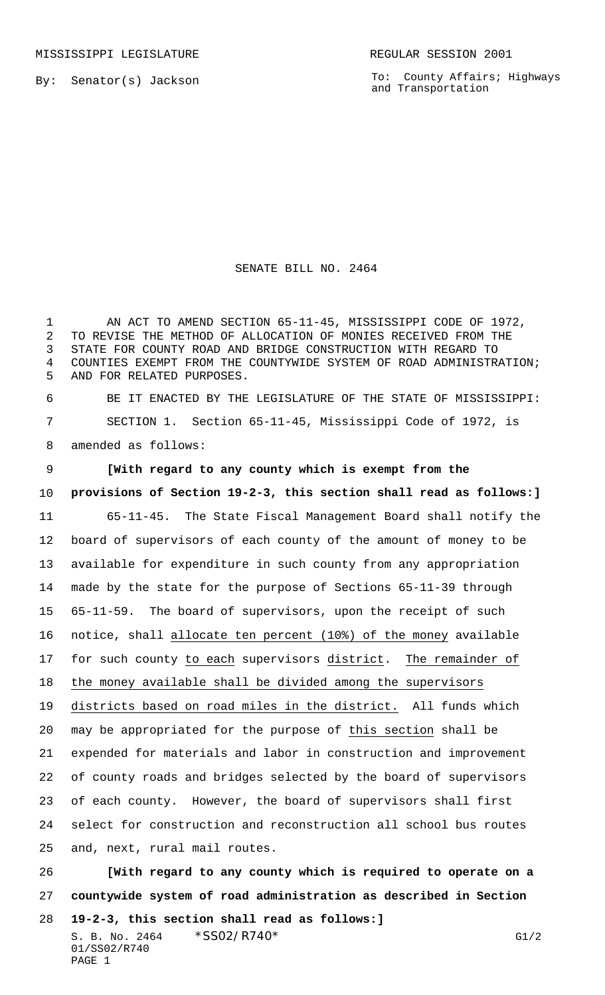By: Senator(s) Jackson

To: County Affairs; Highways and Transportation

## SENATE BILL NO. 2464

1 AN ACT TO AMEND SECTION 65-11-45, MISSISSIPPI CODE OF 1972, TO REVISE THE METHOD OF ALLOCATION OF MONIES RECEIVED FROM THE STATE FOR COUNTY ROAD AND BRIDGE CONSTRUCTION WITH REGARD TO COUNTIES EXEMPT FROM THE COUNTYWIDE SYSTEM OF ROAD ADMINISTRATION; AND FOR RELATED PURPOSES.

 BE IT ENACTED BY THE LEGISLATURE OF THE STATE OF MISSISSIPPI: SECTION 1. Section 65-11-45, Mississippi Code of 1972, is amended as follows:

 **[With regard to any county which is exempt from the provisions of Section 19-2-3, this section shall read as follows:]** 65-11-45. The State Fiscal Management Board shall notify the board of supervisors of each county of the amount of money to be available for expenditure in such county from any appropriation made by the state for the purpose of Sections 65-11-39 through 65-11-59. The board of supervisors, upon the receipt of such notice, shall allocate ten percent (10%) of the money available for such county to each supervisors district. The remainder of the money available shall be divided among the supervisors districts based on road miles in the district. All funds which may be appropriated for the purpose of this section shall be expended for materials and labor in construction and improvement of county roads and bridges selected by the board of supervisors of each county. However, the board of supervisors shall first select for construction and reconstruction all school bus routes and, next, rural mail routes.

 **[With regard to any county which is required to operate on a countywide system of road administration as described in Section**

S. B. No. 2464  $*SSO2/R740*$  G1/2 01/SS02/R740 PAGE 1 **19-2-3, this section shall read as follows:]**